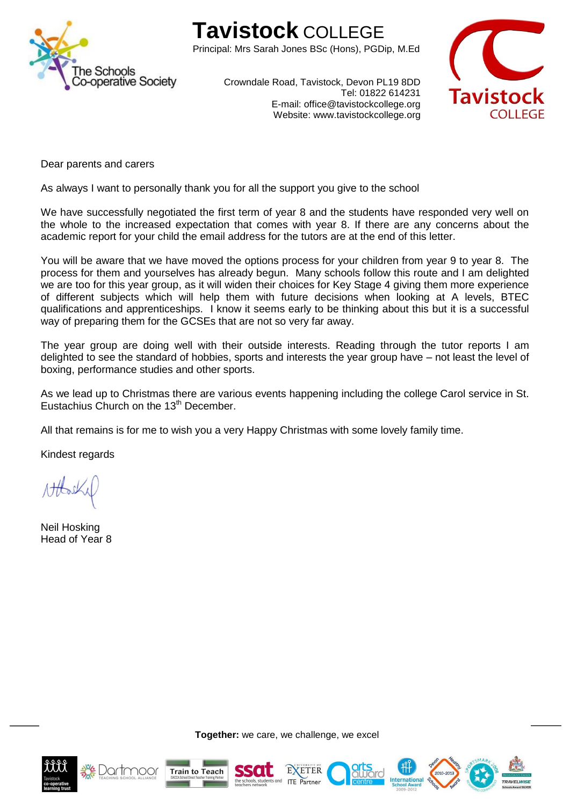

## **Tavistock** COLLEGE

Principal: Mrs Sarah Jones BSc (Hons), PGDip, M.Ed



Crowndale Road, Tavistock, Devon PL19 8DD Tel: 01822 614231 E-mail: office@tavistockcollege.org Website: www.tavistockcollege.org

Dear parents and carers

As always I want to personally thank you for all the support you give to the school

We have successfully negotiated the first term of year 8 and the students have responded very well on the whole to the increased expectation that comes with year 8. If there are any concerns about the academic report for your child the email address for the tutors are at the end of this letter.

You will be aware that we have moved the options process for your children from year 9 to year 8. The process for them and yourselves has already begun. Many schools follow this route and I am delighted we are too for this year group, as it will widen their choices for Key Stage 4 giving them more experience of different subjects which will help them with future decisions when looking at A levels, BTEC qualifications and apprenticeships. I know it seems early to be thinking about this but it is a successful way of preparing them for the GCSEs that are not so very far away.

The year group are doing well with their outside interests. Reading through the tutor reports I am delighted to see the standard of hobbies, sports and interests the year group have – not least the level of boxing, performance studies and other sports.

As we lead up to Christmas there are various events happening including the college Carol service in St. Eustachius Church on the 13<sup>th</sup> December.

All that remains is for me to wish you a very Happy Christmas with some lovely family time.

Kindest regards

Neil Hosking Head of Year 8



7001

**Together:** we care, we challenge, we excel